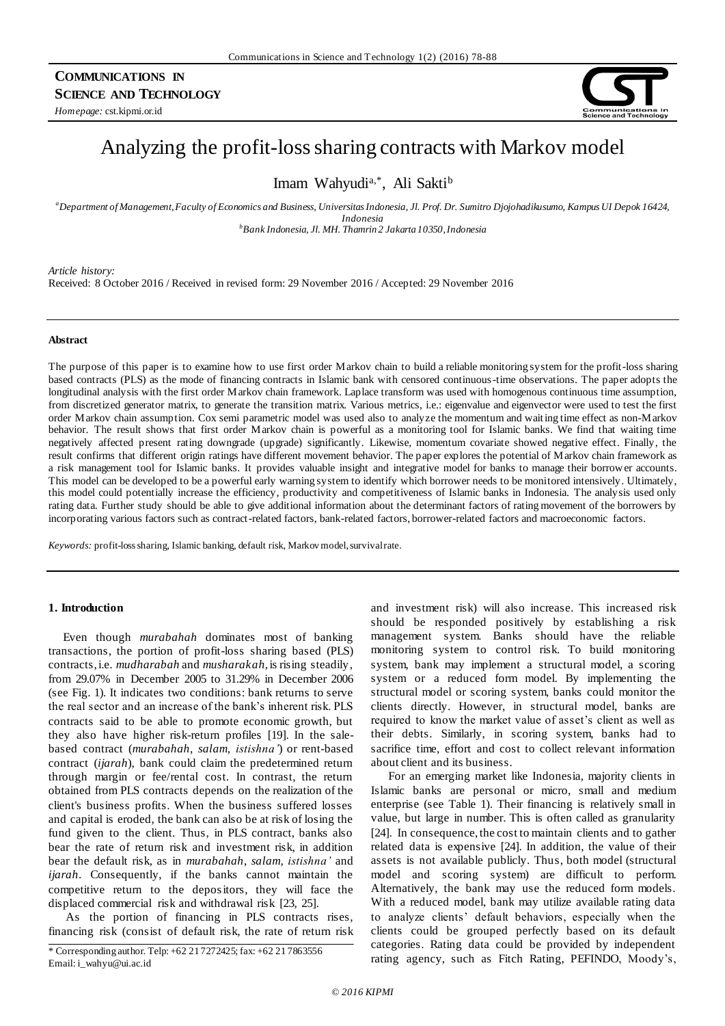# **COMMUNICATIONS IN SCIENCE AND TECHNOLOGY**

*Homepage:* cst.kipmi.or.id



# Analyzing the profit-loss sharing contracts with Markov model

Imam Wahyudi<sup>a,\*</sup>, Ali Sakti<sup>b</sup>

*<sup>a</sup>Department of Management, Faculty of Economics and Business, Universitas Indonesia, Jl. Prof. Dr. Sumitro Djojohadikusumo, Kampus UI Depok 16424, Indonesia <sup>b</sup>Bank Indonesia, Jl. MH. Thamrin 2 Jakarta 10350, Indonesia*

*Article history:*

Received: 8 October 2016 / Received in revised form: 29 November 2016 / Accepted: 29 November 2016

# **Abstract**

The purpose of this paper is to examine how to use first order Markov chain to build a reliable monitoring system for the profit-loss sharing based contracts (PLS) as the mode of financing contracts in Islamic bank with censored continuous-time observations. The paper adopts the longitudinal analysis with the first order Markov chain framework. Laplace transform was used with homogenous continuous time assumption, from discretized generator matrix, to generate the transition matrix. Various metrics, i.e.: eigenvalue and eigenvector were used to test the first order Markov chain assumption. Cox semi parametric model was used also to analyze the momentum and waiting time effect as non-Markov behavior. The result shows that first order Markov chain is powerful as a monitoring tool for Islamic banks. We find that waiting time negatively affected present rating downgrade (upgrade) significantly. Likewise, momentum covariate showed negative effect. Finally, the result confirms that different origin ratings have different movement behavior. The paper explores the potential of Markov chain framework as a risk management tool for Islamic banks. It provides valuable insight and integrative model for banks to manage their borrower accounts. This model can be developed to be a powerful early warning system to identify which borrower needs to be monitored intensively. Ultimately, this model could potentially increase the efficiency, productivity and competitiveness of Islamic banks in Indonesia. The analysis used only rating data. Further study should be able to give additional information about the determinant factors of rating movement of the borrowers by incorporating various factors such as contract-related factors, bank-related factors, borrower-related factors and macroeconomic factors.

*Keywords:* profit-loss sharing, Islamic banking, default risk, Markov model, survival rate.

# **1. Introduction**

Even though *murabahah* dominates most of banking transactions, the portion of profit-loss sharing based (PLS) contracts, i.e. *mudharabah* and *musharakah*, is rising steadily, from 29.07% in December 2005 to 31.29% in December 2006 (see Fig. 1). It indicates two conditions: bank returns to serve the real sector and an increase of the bank's inherent risk. PLS contracts said to be able to promote economic growth, but they also have higher risk-return profiles [19]. In the salebased contract (*murabahah*, *salam*, *istishna'*) or rent-based contract (*ijarah*), bank could claim the predetermined return through margin or fee/rental cost. In contrast, the return obtained from PLS contracts depends on the realization of the client's business profits. When the business suffered losses and capital is eroded, the bank can also be at risk of losing the fund given to the client. Thus, in PLS contract, banks also bear the rate of return risk and investment risk, in addition bear the default risk, as in *murabahah*, *salam*, *istishna'* and *ijarah*. Consequently, if the banks cannot maintain the competitive return to the depositors, they will face the displaced commercial risk and withdrawal risk [23, 25].

As the portion of financing in PLS contracts rises, financing risk (consist of default risk, the rate of return risk and investment risk) will also increase. This increased risk should be responded positively by establishing a risk management system. Banks should have the reliable monitoring system to control risk. To build monitoring system, bank may implement a structural model, a scoring system or a reduced form model. By implementing the structural model or scoring system, banks could monitor the clients directly. However, in structural model, banks are required to know the market value of asset's client as well as their debts. Similarly, in scoring system, banks had to sacrifice time, effort and cost to collect relevant information about client and its business.

For an emerging market like Indonesia, majority clients in Islamic banks are personal or micro, small and medium enterprise (see Table 1). Their financing is relatively small in value, but large in number. This is often called as granularity [24]. In consequence, the cost to maintain clients and to gather related data is expensive [24]. In addition, the value of their assets is not available publicly. Thus, both model (structural model and scoring system) are difficult to perform. Alternatively, the bank may use the reduced form models. With a reduced model, bank may utilize available rating data to analyze clients' default behaviors, especially when the clients could be grouped perfectly based on its default categories. Rating data could be provided by independent rating agency, such as Fitch Rating, PEFINDO, Moody's, \* Corresponding author. Telp: +62 21 7272425; fax: +62 21 7863556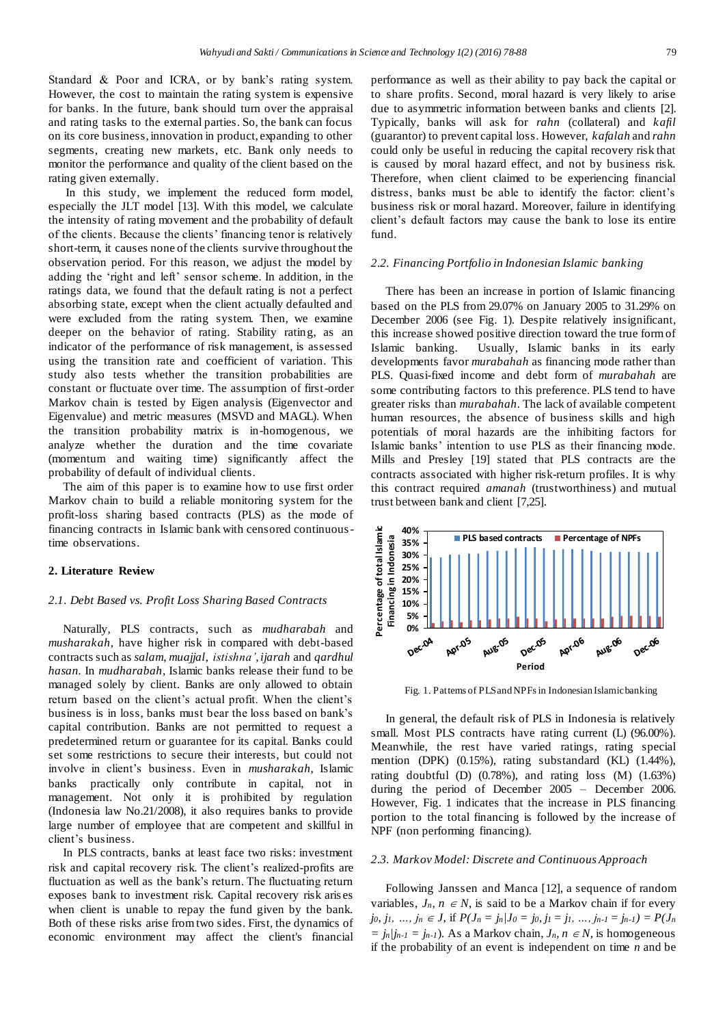Standard & Poor and ICRA, or by bank's rating system. However, the cost to maintain the rating system is expensive for banks. In the future, bank should turn over the appraisal and rating tasks to the external parties. So, the bank can focus on its core business, innovation in product, expanding to other segments, creating new markets, etc. Bank only needs to monitor the performance and quality of the client based on the rating given externally.

In this study, we implement the reduced form model, especially the JLT model [13]. With this model, we calculate the intensity of rating movement and the probability of default of the clients. Because the clients' financing tenor is relatively short-term, it causes none of the clients survive throughout the observation period. For this reason, we adjust the model by adding the 'right and left' sensor scheme. In addition, in the ratings data, we found that the default rating is not a perfect absorbing state, except when the client actually defaulted and were excluded from the rating system. Then, we examine deeper on the behavior of rating. Stability rating, as an indicator of the performance of risk management, is assessed using the transition rate and coefficient of variation. This study also tests whether the transition probabilities are constant or fluctuate over time. The assumption of first-order Markov chain is tested by Eigen analysis (Eigenvector and Eigenvalue) and metric measures (MSVD and MAGL). When the transition probability matrix is in-homogenous, we analyze whether the duration and the time covariate (momentum and waiting time) significantly affect the probability of default of individual clients.

The aim of this paper is to examine how to use first order Markov chain to build a reliable monitoring system for the profit-loss sharing based contracts (PLS) as the mode of financing contracts in Islamic bank with censored continuoustime observations.

## **2. Literature Review**

#### *2.1. Debt Based vs. Profit Loss Sharing Based Contracts*

Naturally, PLS contracts, such as *mudharabah* and *musharakah*, have higher risk in compared with debt-based contracts such as *salam*, *muajjal*, *istishna'*, *ijarah* and *qardhul hasan.* In *mudharabah*, Islamic banks release their fund to be managed solely by client. Banks are only allowed to obtain return based on the client's actual profit. When the client's business is in loss, banks must bear the loss based on bank's capital contribution. Banks are not permitted to request a predetermined return or guarantee for its capital. Banks could set some restrictions to secure their interests, but could not involve in client's business. Even in *musharakah*, Islamic banks practically only contribute in capital, not in management. Not only it is prohibited by regulation (Indonesia law No.21/2008), it also requires banks to provide large number of employee that are competent and skillful in client's business.

In PLS contracts, banks at least face two risks: investment risk and capital recovery risk. The client's realized-profits are fluctuation as well as the bank's return. The fluctuating return exposes bank to investment risk. Capital recovery risk aris es when client is unable to repay the fund given by the bank. Both of these risks arise from two sides. First, the dynamics of economic environment may affect the client's financial performance as well as their ability to pay back the capital or to share profits. Second, moral hazard is very likely to arise due to asymmetric information between banks and clients [2]. Typically, banks will ask for *rahn* (collateral) and *kafil* (guarantor) to prevent capital loss. However, *kafalah* and *rahn* could only be useful in reducing the capital recovery risk that is caused by moral hazard effect, and not by business risk. Therefore, when client claimed to be experiencing financial distress, banks must be able to identify the factor: client's business risk or moral hazard. Moreover, failure in identifying client's default factors may cause the bank to lose its entire fund.

# *2.2. Financing Portfolio in Indonesian Islamic banking*

There has been an increase in portion of Islamic financing based on the PLS from 29.07% on January 2005 to 31.29% on December 2006 (see Fig. 1). Despite relatively insignificant, this increase showed positive direction toward the true form of Islamic banking. Usually, Islamic banks in its early developments favor *murabahah* as financing mode rather than PLS. Quasi-fixed income and debt form of *murabahah* are some contributing factors to this preference. PLS tend to have greater risks than *murabahah*. The lack of available competent human resources, the absence of business skills and high potentials of moral hazards are the inhibiting factors for Islamic banks' intention to use PLS as their financing mode. Mills and Presley [19] stated that PLS contracts are the contracts associated with higher risk-return profiles. It is why this contract required *amanah* (trustworthiness) and mutual trust between bank and client [7,25].



Fig. 1. Patterns of PLS and NPFs in Indonesian Islamic banking

In general, the default risk of PLS in Indonesia is relatively small. Most PLS contracts have rating current (L) (96.00%). Meanwhile, the rest have varied ratings, rating special mention (DPK) (0.15%), rating substandard (KL) (1.44%), rating doubtful (D)  $(0.78\%)$ , and rating loss  $(M)$   $(1.63\%)$ during the period of December 2005 – December 2006. However, Fig. 1 indicates that the increase in PLS financing portion to the total financing is followed by the increase of NPF (non performing financing).

#### *2.3. Markov Model: Discrete and Continuous Approach*

Following Janssen and Manca [12], a sequence of random variables,  $J_n$ ,  $n \in N$ , is said to be a Markov chain if for every jo, j<sub>1</sub>, ..., j<sub>n</sub>  $\in$  J, if  $P(J_n = j_n | J_0 = j_0, j_1 = j_1, ..., j_{n-1} = j_{n-1}) = P(J_n)$  $=$   $j_n/j_{n-1} = j_{n-1}$ . As a Markov chain,  $J_n$ ,  $n \in \mathbb{N}$ , is homogeneous if the probability of an event is independent on time *n* and be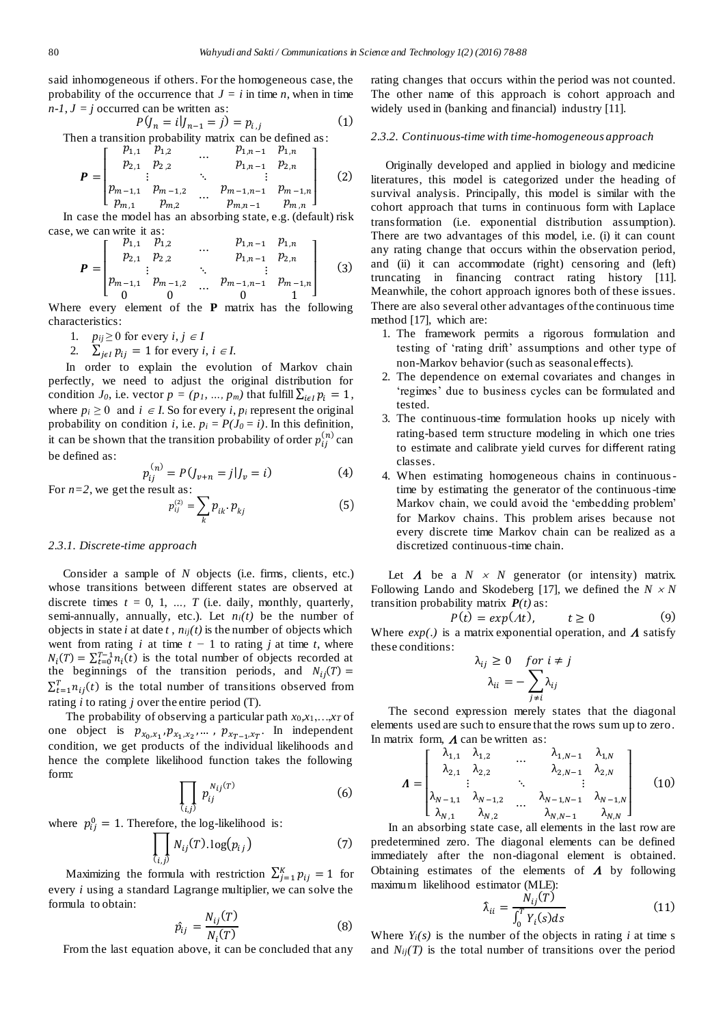(5)

said inhomogeneous if others. For the homogeneous case, the probability of the occurrence that  $J = i$  in time *n*, when in time  $n-1$ ,  $J = j$  occurred can be written as:

$$
P(y_n = i|J_{n-1} = j) = p_{i,j}
$$
 (1)

Then a transition probability matrix can be defined as:

$$
\boldsymbol{P} = \begin{bmatrix} p_{1,1} & p_{1,2} & \dots & p_{1,n-1} & p_{1,n} \\ p_{2,1} & p_{2,2} & \dots & p_{1,n-1} & p_{2,n} \\ \vdots & \vdots & \ddots & \vdots & \vdots \\ p_{m-1,1} & p_{m-1,2} & \dots & p_{m-1,n-1} & p_{m-1,n} \\ p_{m,1} & p_{m,2} & \dots & p_{m,n-1} & p_{m,n} \end{bmatrix}
$$
 (2)

In case the model has an absorbing state, e.g. (default) risk case, we can write it as:

$$
\boldsymbol{P} = \begin{bmatrix} p_{1,1} & p_{1,2} & \dots & p_{1,n-1} & p_{1,n} \\ p_{2,1} & p_{2,2} & \ddots & p_{1,n-1} & p_{2,n} \\ \vdots & \ddots & \ddots & \vdots \\ p_{m-1,1} & p_{m-1,2} & \dots & p_{m-1,n-1} & p_{m-1,n} \\ 0 & 0 & 0 & 1 \end{bmatrix}
$$
 (3)

Where every element of the **P** matrix has the following characteristics:

- 1.  $p_{ij} \geq 0$  for every  $i, j \in I$
- 2.  $\sum_{j \in I} p_{ij} = 1$  for every *i*, *i*  $\in I$ .

In order to explain the evolution of Markov chain perfectly, we need to adjust the original distribution for condition *J*<sup>0</sup>, i.e. vector  $p = (p_1, ..., p_m)$  that fulfill  $\sum_{i \in I} p_i = 1$ , where  $p_i \geq 0$  and  $i \in I$ . So for every *i*,  $p_i$  represent the original probability on condition *i*, i.e.  $p_i = P(J_0 = i)$ . In this definition, it can be shown that the transition probability of order  $p_{ij}^{(n)}$  can be defined as:

$$
p_{ij}^{(n)} = P(J_{\nu+n} = j | J_{\nu} = i)
$$
 (4)

For *n=2*, we get the result as:  $p_{ij}^{(2)} = \sum_{k} p_{ik} \cdot p_{kj}$ 

#### *2.3.1. Discrete-time approach*

Consider a sample of *N* objects (i.e. firms, clients, etc.) whose transitions between different states are observed at discrete times  $t = 0, 1, ..., T$  (i.e. daily, monthly, quarterly, semi-annually, annually, etc.). Let *ni(t)* be the number of objects in state *i* at date  $t$ ,  $n_{ij}(t)$  is the number of objects which went from rating  $i$  at time  $t - 1$  to rating  $j$  at time  $t$ , where  $N_i(T) = \sum_{t=0}^{T-1} n_i(t)$  is the total number of objects recorded at the beginnings of the transition periods, and  $N_{ij}(T)$  =  $\sum_{t=1}^{T} n_{ij}(t)$  is the total number of transitions observed from rating *i* to rating *j* over the entire period (T).

The probability of observing a particular path *x*0*,x*1,…,*x<sup>T</sup>* of one object is  $p_{x_0, x_1}, p_{x_1, x_2}, \dots, p_{x_{T-1}, x_T}$ . In independent condition, we get products of the individual likelihoods and hence the complete likelihood function takes the following form:

$$
\prod_{(i,j)} p_{ij}^{N_{ij}(T)} \tag{6}
$$

where  $p_{ij}^0 = 1$ . Therefore, the log-likelihood is:

$$
\prod_{(i,j)} N_{ij}(T) \log(p_{ij}) \tag{7}
$$

Maximizing the formula with restriction  $\sum_{j=1}^{K} p_{ij} = 1$  for every *i* using a standard Lagrange multiplier, we can solve the formula to obtain:

$$
\hat{p}_{ij} = \frac{N_{ij}(T)}{N_i(T)}\tag{8}
$$

From the last equation above, it can be concluded that any

rating changes that occurs within the period was not counted. The other name of this approach is cohort approach and widely used in (banking and financial) industry [11].

#### *2.3.2. Continuous-time with time-homogeneous approach*

Originally developed and applied in biology and medicine literatures, this model is categorized under the heading of survival analysis. Principally, this model is similar with the cohort approach that turns in continuous form with Laplace transformation (i.e. exponential distribution assumption). There are two advantages of this model, i.e. (i) it can count any rating change that occurs within the observation period, and (ii) it can accommodate (right) censoring and (left) truncating in financing contract rating history [11]. Meanwhile, the cohort approach ignores both of these issues. There are also several other advantages of the continuous time method [17], which are:

- 1. The framework permits a rigorous formulation and testing of 'rating drift' assumptions and other type of non-Markov behavior (such as seasonal effects).
- 2. The dependence on external covariates and changes in 'regimes' due to business cycles can be formulated and tested.
- 3. The continuous-time formulation hooks up nicely with rating-based term structure modeling in which one tries to estimate and calibrate yield curves for different rating classes.
- 4. When estimating homogeneous chains in continuoustime by estimating the generator of the continuous-time Markov chain, we could avoid the 'embedding problem' for Markov chains. This problem arises because not every discrete time Markov chain can be realized as a discretized continuous-time chain.

Let  $\Lambda$  be a  $N \times N$  generator (or intensity) matrix. Following Lando and Skodeberg [17], we defined the  $N \times N$ transition probability matrix  $P(t)$  as:

$$
P(t) = exp(At), \qquad t \ge 0 \tag{9}
$$

Where  $exp(.)$  is a matrix exponential operation, and  $\Lambda$  satisfy these conditions:

$$
\lambda_{ij} \ge 0 \quad \text{for } i \ne j
$$
\n
$$
\lambda_{ii} = -\sum_{j \ne i} \lambda_{ij}
$$

The second expression merely states that the diagonal elements used are such to ensure that the rows sum up to zero. In matrix form,  $\Lambda$  can be written as:

$$
\boldsymbol{\Lambda} = \begin{bmatrix} \lambda_{1,1} & \lambda_{1,2} & \dots & \lambda_{1,N-1} & \lambda_{1,N} \\ \lambda_{2,1} & \lambda_{2,2} & & \lambda_{2,N-1} & \lambda_{2,N} \\ \vdots & \ddots & \ddots & \vdots \\ \lambda_{N-1,1} & \lambda_{N-1,2} & \dots & \lambda_{N-1,N-1} & \lambda_{N-1,N} \\ \lambda_{N,1} & \lambda_{N,2} & & \lambda_{N,N-1} & \lambda_{N,N} \end{bmatrix}
$$
 (10)

In an absorbing state case, all elements in the last row are predetermined zero. The diagonal elements can be defined immediately after the non-diagonal element is obtained. Obtaining estimates of the elements of  $\Lambda$  by following maximum likelihood estimator (MLE):

$$
\hat{\lambda}_{ii} = \frac{N_{ij}(T)}{\int_0^T Y_i(s)ds}
$$
\n(11)

Where  $Y_i(s)$  is the number of the objects in rating *i* at time s and  $N_{ij}(T)$  is the total number of transitions over the period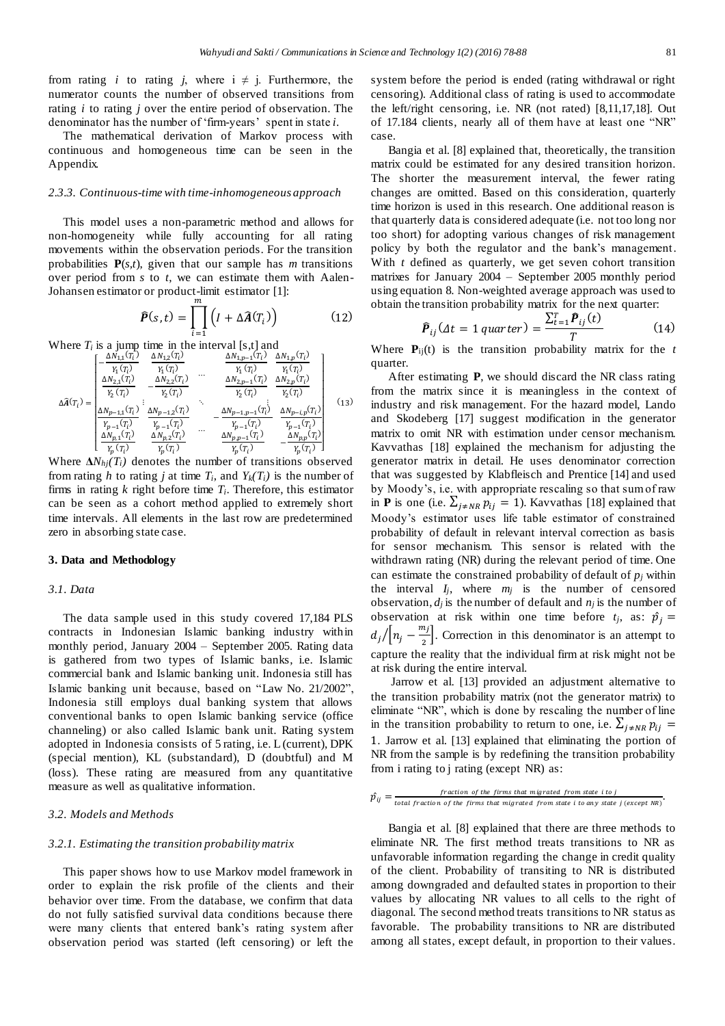from rating *i* to rating *j*, where  $i \neq j$ . Furthermore, the numerator counts the number of observed transitions from rating *i* to rating *j* over the entire period of observation. The denominator has the number of 'firm-years' spent in state *i*.

The mathematical derivation of Markov process with continuous and homogeneous time can be seen in the Appendix.

# *2.3.3. Continuous-time with time-inhomogeneous approach*

This model uses a non-parametric method and allows for non-homogeneity while fully accounting for all rating movements within the observation periods. For the transition probabilities **P**(*s,t*), given that our sample has *m* transitions over period from *s* to *t*, we can estimate them with Aalen-Johansen estimator or product-limit estimator [1]:

$$
\widehat{P}(s,t) = \prod_{i=1}^{m} \left( I + \Delta \widehat{A}(T_i) \right) \tag{12}
$$

Where  $T_i$  is a jump time in the interval [s,t] and

$$
\Delta \widehat{A}(T_i) = \begin{bmatrix}\n-\frac{\Delta N_{1,1}(T_i)}{Y_1(T_i)} & \frac{\Delta N_{1,2}(T_i)}{Y_1(T_i)} & \frac{\Delta N_{1,p-1}(T_i)}{Y_1(T_i)} & \frac{\Delta N_{1,p}(T_i)}{Y_1(T_i)} \\
\frac{\Delta N_{2,1}(T_i)}{Y_2(T_i)} & -\frac{\Delta N_{2,2}(T_i)}{Y_2(T_i)} & \frac{\Delta N_{2,p-1}(T_i)}{Y_2(T_i)} & \frac{\Delta N_{2,p}(T_i)}{Y_2(T_i)} \\
\frac{\Delta N_{p-1,1}(T_i)}{Y_{p-1}(T_i)} & \frac{\Delta N_{p-1,2}(T_i)}{Y_{p-1}(T_i)} & \frac{\Delta N_{p-1,p-1}(T_i)}{Y_{p-1}(T_i)} & \frac{\Delta N_{p-1,p}(T_i)}{Y_{p-1}(T_i)} \\
\frac{\Delta N_{p,1}(T_i)}{Y_p(T_i)} & \frac{\Delta N_{p,2}(T_i)}{Y_p(T_i)} & \frac{\Delta N_{p,p-1}(T_i)}{Y_p(T_i)} & -\frac{\Delta N_{p,p}(T_i)}{Y_p(T_i)}\n\end{bmatrix} \tag{13}
$$

Where  $\Delta N_{hi}(T_i)$  denotes the number of transitions observed from rating *h* to rating *j* at time  $T_i$ , and  $Y_k(T_i)$  is the number of firms in rating  $k$  right before time  $T_i$ . Therefore, this estimator can be seen as a cohort method applied to extremely short time intervals. All elements in the last row are predetermined zero in absorbing state case.

### **3. Data and Methodology**

#### *3.1. Data*

The data sample used in this study covered 17,184 PLS contracts in Indonesian Islamic banking industry within monthly period, January 2004 – September 2005. Rating data is gathered from two types of Islamic banks, i.e. Islamic commercial bank and Islamic banking unit. Indonesia still has Islamic banking unit because, based on "Law No. 21/2002", Indonesia still employs dual banking system that allows conventional banks to open Islamic banking service (office channeling) or also called Islamic bank unit. Rating system adopted in Indonesia consists of 5 rating, i.e. L (current), DPK (special mention), KL (substandard), D (doubtful) and M (loss). These rating are measured from any quantitative measure as well as qualitative information.

#### *3.2. Models and Methods*

#### *3.2.1. Estimating the transition probability matrix*

This paper shows how to use Markov model framework in order to explain the risk profile of the clients and their behavior over time. From the database, we confirm that data do not fully satisfied survival data conditions because there were many clients that entered bank's rating system after observation period was started (left censoring) or left the

system before the period is ended (rating withdrawal or right censoring). Additional class of rating is used to accommodate the left/right censoring, i.e. NR (not rated) [8,11,17,18]. Out of 17.184 clients, nearly all of them have at least one "NR" case.

Bangia et al. [8] explained that, theoretically, the transition matrix could be estimated for any desired transition horizon. The shorter the measurement interval, the fewer rating changes are omitted. Based on this consideration, quarterly time horizon is used in this research. One additional reason is that quarterly data is considered adequate (i.e. not too long nor too short) for adopting various changes of risk management policy by both the regulator and the bank's management. With *t* defined as quarterly, we get seven cohort transition matrixes for January 2004 – September 2005 monthly period using equation 8. Non-weighted average approach was used to obtain the transition probability matrix for the next quarter:

$$
\hat{\boldsymbol{P}}_{ij}(\Delta t = 1 \, quarter) = \frac{\sum_{t=1}^{T} \hat{\boldsymbol{P}}_{ij}(t)}{T} \tag{14}
$$

Where  $P_{ij}(t)$  is the transition probability matrix for the *t* quarter.

After estimating **P**, we should discard the NR class rating from the matrix since it is meaningless in the context of industry and risk management. For the hazard model, Lando and Skodeberg [17] suggest modification in the generator matrix to omit NR with estimation under censor mechanism. Kavvathas [18] explained the mechanism for adjusting the generator matrix in detail. He uses denominator correction that was suggested by Klabfleisch and Prentice [14] and used by Moody's, i.e. with appropriate rescaling so that sum of raw in **P** is one (i.e.  $\sum_{i \neq NR} p_{ij} = 1$ ). Kavvathas [18] explained that Moody's estimator uses life table estimator of constrained probability of default in relevant interval correction as basis for sensor mechanism. This sensor is related with the withdrawn rating (NR) during the relevant period of time. One can estimate the constrained probability of default of *p<sup>j</sup>* within the interval *Ij*, where *m<sup>j</sup>* is the number of censored observation,  $d_j$  is the number of default and  $n_j$  is the number of observation at risk within one time before  $t_j$ , as:  $\hat{p}_j$  =  $d_j/[n_j-\frac{m_j}{2}]$  $/ [n_j - \frac{n_j}{2}]$ . Correction in this denominator is an attempt to capture the reality that the individual firm at risk might not be at risk during the entire interval.

Jarrow et al. [13] provided an adjustment alternative to the transition probability matrix (not the generator matrix) to eliminate "NR", which is done by rescaling the number of line in the transition probability to return to one, i.e.  $\sum_{j \neq NR} p_{ij} =$ 1. Jarrow et al. [13] explained that eliminating the portion of NR from the sample is by redefining the transition probability from i rating to j rating (except NR) as:

$$
\hat{p}_{ij} = \frac{fraction\ of\ the\ firms\ that\ migrate\ from\ state\ i\ to\ j}{total\ fraction\ of\ the\ firms\ that\ migrated\ from\ state\ i\ to\ any\ state\ j\ (except\ NR)}.
$$

Bangia et al. [8] explained that there are three methods to eliminate NR. The first method treats transitions to NR as unfavorable information regarding the change in credit quality of the client. Probability of transiting to NR is distributed among downgraded and defaulted states in proportion to their values by allocating NR values to all cells to the right of diagonal. The second method treats transitions to NR status as favorable. The probability transitions to NR are distributed among all states, except default, in proportion to their values.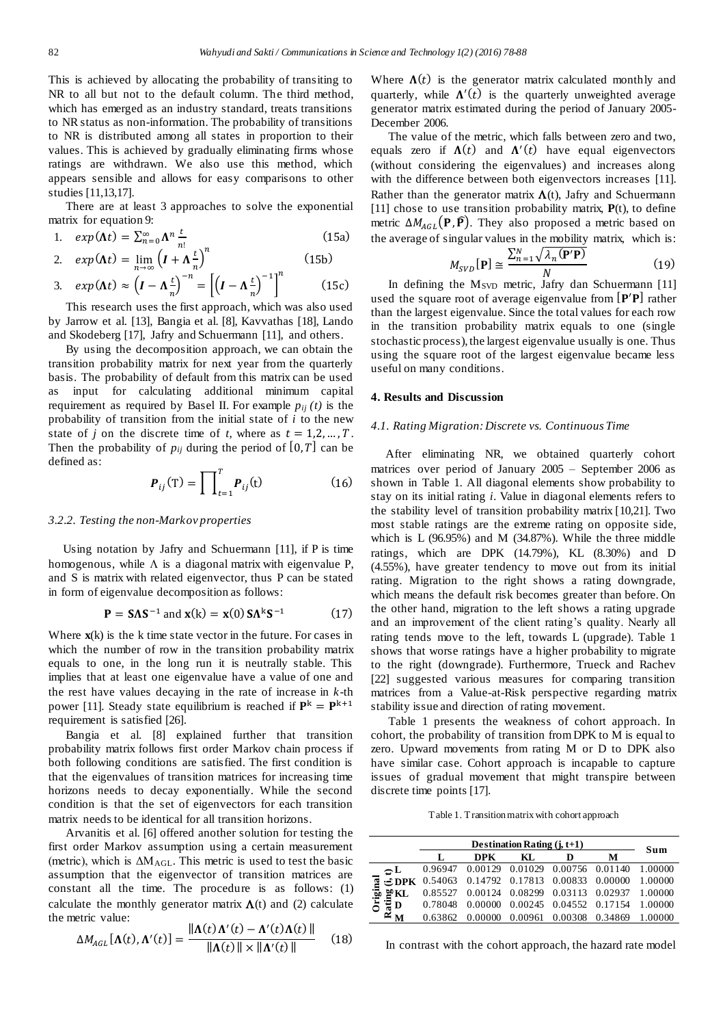This is achieved by allocating the probability of transiting to NR to all but not to the default column. The third method, which has emerged as an industry standard, treats transitions to NR status as non-information. The probability of transitions to NR is distributed among all states in proportion to their values. This is achieved by gradually eliminating firms whose ratings are withdrawn. We also use this method, which appears sensible and allows for easy comparisons to other studies [11,13,17].

There are at least 3 approaches to solve the exponential matrix for equation 9:

1. 
$$
exp(\Lambda t) = \sum_{n=0}^{\infty} \Lambda^n \frac{t}{n!}
$$
 (15a)

2. 
$$
exp(\Lambda t) = \lim_{n \to \infty} \left(I + \Lambda \frac{t}{n}\right)^n
$$
 (15b)

3. 
$$
exp(\Lambda t) \approx \left(I - \Lambda \frac{t}{n}\right)^{-n} = \left[\left(I - \Lambda \frac{t}{n}\right)^{-1}\right]
$$
 (15c)

This research uses the first approach, which was also used by Jarrow et al. [13], Bangia et al. [8], Kavvathas [18], Lando and Skodeberg [17], Jafry and Schuermann [11], and others.

By using the decomposition approach, we can obtain the transition probability matrix for next year from the quarterly basis. The probability of default from this matrix can be used as input for calculating additional minimum capital requirement as required by Basel II. For example  $p_{ij}(t)$  is the probability of transition from the initial state of *i* to the new state of *j* on the discrete time of *t*, where as  $t = 1, 2, ..., T$ . Then the probability of  $p_{ij}$  during the period of [0, T] can be defined as:

$$
\boldsymbol{P}_{ij}(\mathbf{T}) = \prod_{t=1}^{T} \boldsymbol{P}_{ij}(\mathbf{t}) \tag{16}
$$

#### *3.2.2. Testing the non-Markov properties*

Using notation by Jafry and Schuermann [11], if P is time homogenous, while  $\Lambda$  is a diagonal matrix with eigenvalue P, and S is matrix with related eigenvector, thus P can be stated in form of eigenvalue decomposition as follows:

$$
\mathbf{P} = S\Lambda S^{-1} \text{ and } \mathbf{x}(k) = \mathbf{x}(0) S\Lambda^{k} S^{-1} \tag{17}
$$

Where **x**(k) is the k time state vector in the future. For cases in which the number of row in the transition probability matrix equals to one, in the long run it is neutrally stable. This implies that at least one eigenvalue have a value of one and the rest have values decaying in the rate of increase in *k-*th power [11]. Steady state equilibrium is reached if  $\mathbf{P}^k = \mathbf{P}^{k+1}$ requirement is satisfied [26].

Bangia et al. [8] explained further that transition probability matrix follows first order Markov chain process if both following conditions are satisfied. The first condition is that the eigenvalues of transition matrices for increasing time horizons needs to decay exponentially. While the second condition is that the set of eigenvectors for each transition matrix needs to be identical for all transition horizons.

Arvanitis et al. [6] offered another solution for testing the first order Markov assumption using a certain measurement (metric), which is  $\Delta M_{AGL}$ . This metric is used to test the basic assumption that the eigenvector of transition matrices are constant all the time. The procedure is as follows: (1) calculate the monthly generator matrix  $\Lambda(t)$  and (2) calculate the metric value:

$$
\Delta M_{AGL}[\mathbf{\Lambda}(t), \mathbf{\Lambda}'(t)] = \frac{\|\mathbf{\Lambda}(t)\mathbf{\Lambda}'(t) - \mathbf{\Lambda}'(t)\mathbf{\Lambda}(t)\|}{\|\mathbf{\Lambda}(t)\| \times \|\mathbf{\Lambda}'(t)\|} \tag{18}
$$

Where  $\Lambda(t)$  is the generator matrix calculated monthly and quarterly, while  $\Lambda'(t)$  is the quarterly unweighted average generator matrix estimated during the period of January 2005- December 2006.

The value of the metric, which falls between zero and two, equals zero if  $\Lambda(t)$  and  $\Lambda'(t)$  have equal eigenvectors (without considering the eigenvalues) and increases along with the difference between both eigenvectors increases [11]. Rather than the generator matrix  $\Lambda(t)$ , Jafry and Schuermann [11] chose to use transition probability matrix, **P**(t), to define metric  $\Delta M_{AGL}({\bf P}, {\bf \bar{P}})$ . They also proposed a metric based on the average of singular values in the mobility matrix, which is:

$$
M_{SVD}[\mathbf{P}] \cong \frac{\sum_{n=1}^{N} \sqrt{\lambda_n(\mathbf{P}'\mathbf{P})}}{N}
$$
 (19)

In defining the M<sub>SVD</sub> metric, Jafry dan Schuermann [11] used the square root of average eigenvalue from  $[P/P]$  rather than the largest eigenvalue. Since the total values for each row in the transition probability matrix equals to one (single stochastic process), the largest eigenvalue usually is one. Thus using the square root of the largest eigenvalue became less useful on many conditions.

### **4. Results and Discussion**

#### *4.1. Rating Migration: Discrete vs. Continuous Time*

After eliminating NR, we obtained quarterly cohort matrices over period of January 2005 – September 2006 as shown in Table 1. All diagonal elements show probability to stay on its initial rating *i*. Value in diagonal elements refers to the stability level of transition probability matrix [10,21]. Two most stable ratings are the extreme rating on opposite side, which is L (96.95%) and M (34.87%). While the three middle ratings, which are DPK (14.79%), KL (8.30%) and D (4.55%), have greater tendency to move out from its initial rating. Migration to the right shows a rating downgrade, which means the default risk becomes greater than before. On the other hand, migration to the left shows a rating upgrade and an improvement of the client rating's quality. Nearly all rating tends move to the left, towards L (upgrade). Table 1 shows that worse ratings have a higher probability to migrate to the right (downgrade). Furthermore, Trueck and Rachev [22] suggested various measures for comparing transition matrices from a Value-at-Risk perspective regarding matrix stability issue and direction of rating movement.

Table 1 presents the weakness of cohort approach. In cohort, the probability of transition from DPK to M is equal to zero. Upward movements from rating M or D to DPK also have similar case. Cohort approach is incapable to capture issues of gradual movement that might transpire between discrete time points [17].

Table 1. Transition matrix with cohort approach

|                             |                             | Sum     |                 |  |                                                                   |         |  |  |
|-----------------------------|-----------------------------|---------|-----------------|--|-------------------------------------------------------------------|---------|--|--|
|                             | М<br><b>DPK</b><br>KL.<br>D |         |                 |  |                                                                   |         |  |  |
| $\mathbb{C}^{\mathbf{L}}$   | 0.96947                     |         |                 |  | 0.00129 0.01029 0.00756 0.01140 1.00000                           |         |  |  |
|                             |                             |         |                 |  | $\div$ <b>DPK</b> 0.54063 0.14792 0.17813 0.00833 0.00000 1.00000 |         |  |  |
| $\frac{50}{20}$ KL          | 0.85527                     |         |                 |  | 0.00124 0.08299 0.03113 0.02937 1.00000                           |         |  |  |
| Original<br>$\frac{1}{3}$ D | 0.78048                     | 0.00000 |                 |  | 0.00245 0.04552 0.17154 1.00000                                   |         |  |  |
|                             | 0.63862                     | 0.00000 | 0.00961 0.00308 |  | 0.34869                                                           | 1.00000 |  |  |

In contrast with the cohort approach, the hazard rate model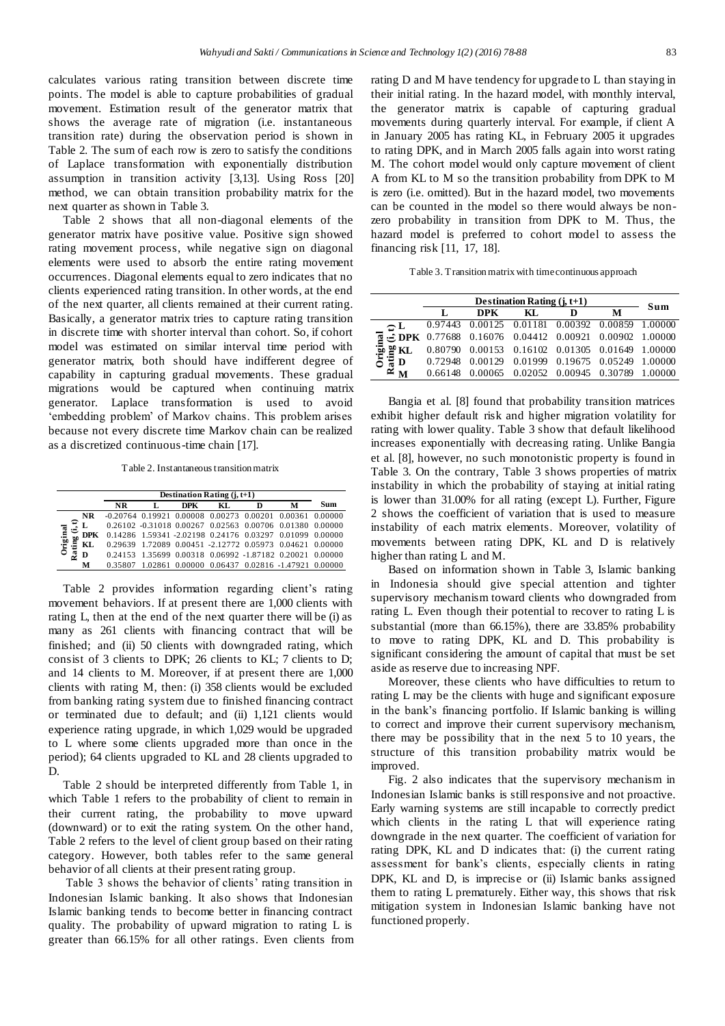calculates various rating transition between discrete time points. The model is able to capture probabilities of gradual movement. Estimation result of the generator matrix that shows the average rate of migration (i.e. instantaneous transition rate) during the observation period is shown in Table 2. The sum of each row is zero to satisfy the conditions of Laplace transformation with exponentially distribution assumption in transition activity [3,13]. Using Ross [20] method, we can obtain transition probability matrix for the next quarter as shown in Table 3.

Table 2 shows that all non-diagonal elements of the generator matrix have positive value. Positive sign showed rating movement process, while negative sign on diagonal elements were used to absorb the entire rating movement occurrences. Diagonal elements equal to zero indicates that no clients experienced rating transition. In other words, at the end of the next quarter, all clients remained at their current rating. Basically, a generator matrix tries to capture rating transition in discrete time with shorter interval than cohort. So, if cohort model was estimated on similar interval time period with generator matrix, both should have indifferent degree of capability in capturing gradual movements. These gradual migrations would be captured when continuing matrix generator. Laplace transformation is used to avoid 'embedding problem' of Markov chains. This problem arises because not every discrete time Markov chain can be realized as a discretized continuous-time chain [17].

Table 2. Instantaneoustransition matrix

|                |            | Destination Rating $(i, t+1)$ |  |            |     |   |                                                            |     |  |  |
|----------------|------------|-------------------------------|--|------------|-----|---|------------------------------------------------------------|-----|--|--|
|                |            | NR                            |  | <b>DPK</b> | KL. | D | м                                                          | Sum |  |  |
|                | NR         |                               |  |            |     |   | $-0.20764$ 0.19921 0.00008 0.00273 0.00201 0.00361 0.00000 |     |  |  |
|                | L          |                               |  |            |     |   | 0.26102 -0.31018 0.00267 0.02563 0.00706 0.01380 0.00000   |     |  |  |
|                | <b>DPK</b> |                               |  |            |     |   | 0.14286 1.59341 -2.02198 0.24176 0.03297 0.01099 0.00000   |     |  |  |
| Origina<br>ing | KL         |                               |  |            |     |   | 0.29639 1.72089 0.00451 -2.12772 0.05973 0.04621 0.00000   |     |  |  |
| ನೆ             | D          |                               |  |            |     |   | 0.24153 1.35699 0.00318 0.06992 -1.87182 0.20021 0.00000   |     |  |  |
|                | м          | 0.35807                       |  |            |     |   | 1.02861 0.00000 0.06437 0.02816 -1.47921 0.00000           |     |  |  |

Table 2 provides information regarding client's rating movement behaviors. If at present there are 1,000 clients with rating L, then at the end of the next quarter there will be (i) as many as 261 clients with financing contract that will be finished; and (ii) 50 clients with downgraded rating, which consist of 3 clients to DPK; 26 clients to KL; 7 clients to D; and 14 clients to M. Moreover, if at present there are 1,000 clients with rating M, then: (i) 358 clients would be excluded from banking rating system due to finished financing contract or terminated due to default; and (ii) 1,121 clients would experience rating upgrade, in which 1,029 would be upgraded to L where some clients upgraded more than once in the period); 64 clients upgraded to KL and 28 clients upgraded to D.

Table 2 should be interpreted differently from Table 1, in which Table 1 refers to the probability of client to remain in their current rating, the probability to move upward (downward) or to exit the rating system. On the other hand, Table 2 refers to the level of client group based on their rating category. However, both tables refer to the same general behavior of all clients at their present rating group.

Table 3 shows the behavior of clients' rating transition in Indonesian Islamic banking. It also shows that Indonesian Islamic banking tends to become better in financing contract quality. The probability of upward migration to rating L is greater than 66.15% for all other ratings. Even clients from rating D and M have tendency for upgrade to L than staying in their initial rating. In the hazard model, with monthly interval, the generator matrix is capable of capturing gradual movements during quarterly interval. For example, if client A in January 2005 has rating KL, in February 2005 it upgrades to rating DPK, and in March 2005 falls again into worst rating M. The cohort model would only capture movement of client A from KL to M so the transition probability from DPK to M is zero (i.e. omitted). But in the hazard model, two movements can be counted in the model so there would always be nonzero probability in transition from DPK to M. Thus, the hazard model is preferred to cohort model to assess the financing risk [11, 17, 18].

Table 3. Transition matrix with time continuous approach

|                                                | Destination Rating $(i, t+1)$ |                                                                   |                                         |   |   |     |  |  |
|------------------------------------------------|-------------------------------|-------------------------------------------------------------------|-----------------------------------------|---|---|-----|--|--|
|                                                |                               | DPK.                                                              | KL.                                     | D | М | Sum |  |  |
| $\mathbf{L}$                                   |                               | 0.97443 0.00125 0.01181 0.00392 0.00859 1.00000                   |                                         |   |   |     |  |  |
| ತ                                              |                               | $\frac{1}{2}$ DPK 0.77688 0.16076 0.04412 0.00921 0.00902 1.00000 |                                         |   |   |     |  |  |
| Original<br>Rating<br>D<br>D<br>D<br>D<br>을 KL | 0.80790                       | 0.00153 0.16102 0.01305 0.01649 1.00000                           |                                         |   |   |     |  |  |
|                                                | 0.72948                       |                                                                   | 0.00129 0.01999 0.19675 0.05249 1.00000 |   |   |     |  |  |
|                                                | 0.66148                       |                                                                   | 0.00065 0.02052 0.00945 0.30789 1.00000 |   |   |     |  |  |

Bangia et al. [8] found that probability transition matrices exhibit higher default risk and higher migration volatility for rating with lower quality. Table 3 show that default likelihood increases exponentially with decreasing rating. Unlike Bangia et al. [8], however, no such monotonistic property is found in Table 3. On the contrary, Table 3 shows properties of matrix instability in which the probability of staying at initial rating is lower than 31.00% for all rating (except L). Further, Figure 2 shows the coefficient of variation that is used to measure instability of each matrix elements. Moreover, volatility of movements between rating DPK, KL and D is relatively higher than rating L and M.

Based on information shown in Table 3, Islamic banking in Indonesia should give special attention and tighter supervisory mechanism toward clients who downgraded from rating L. Even though their potential to recover to rating L is substantial (more than 66.15%), there are 33.85% probability to move to rating DPK, KL and D. This probability is significant considering the amount of capital that must be set aside as reserve due to increasing NPF.

Moreover, these clients who have difficulties to return to rating L may be the clients with huge and significant exposure in the bank's financing portfolio. If Islamic banking is willing to correct and improve their current supervisory mechanism, there may be possibility that in the next 5 to 10 years, the structure of this transition probability matrix would be improved.

Fig. 2 also indicates that the supervisory mechanism in Indonesian Islamic banks is still responsive and not proactive. Early warning systems are still incapable to correctly predict which clients in the rating L that will experience rating downgrade in the next quarter. The coefficient of variation for rating DPK, KL and D indicates that: (i) the current rating assessment for bank's clients, especially clients in rating DPK, KL and D, is imprecise or (ii) Islamic banks assigned them to rating L prematurely. Either way, this shows that risk mitigation system in Indonesian Islamic banking have not functioned properly.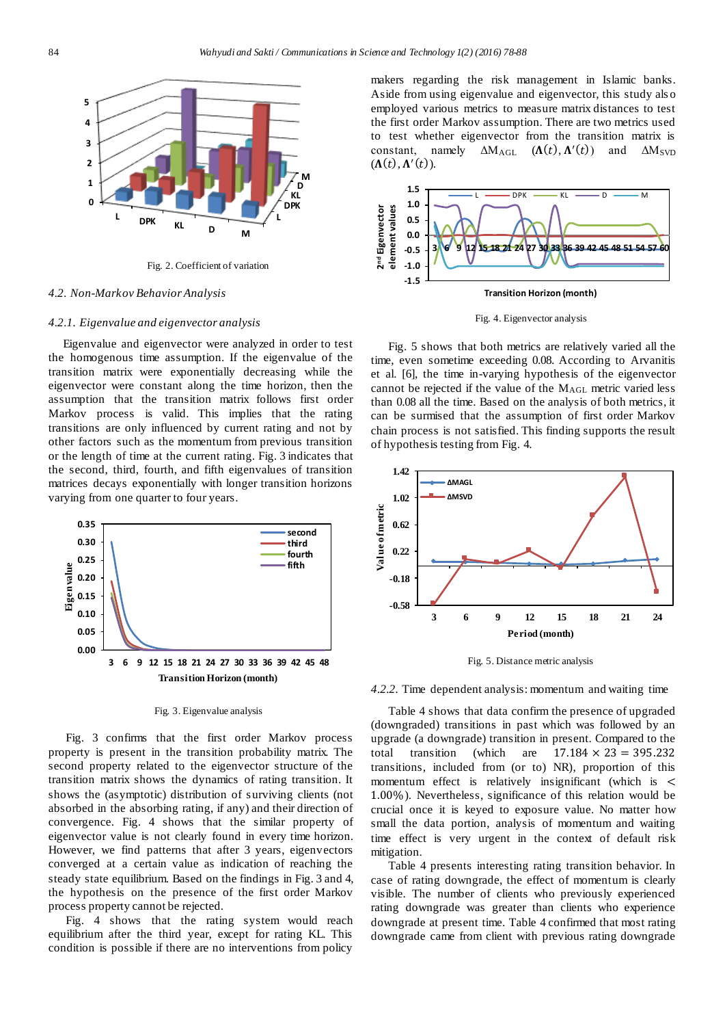

Fig. 2. Coefficient of variation

#### *4.2. Non-Markov Behavior Analysis*

#### *4.2.1. Eigenvalue and eigenvector analysis*

Eigenvalue and eigenvector were analyzed in order to test the homogenous time assumption. If the eigenvalue of the transition matrix were exponentially decreasing while the eigenvector were constant along the time horizon, then the assumption that the transition matrix follows first order Markov process is valid. This implies that the rating transitions are only influenced by current rating and not by other factors such as the momentum from previous transition or the length of time at the current rating. Fig. 3 indicates that the second, third, fourth, and fifth eigenvalues of transition matrices decays exponentially with longer transition horizons varying from one quarter to four years.



# Fig. 3. Eigenvalue analysis

Fig. 3 confirms that the first order Markov process property is present in the transition probability matrix. The second property related to the eigenvector structure of the transition matrix shows the dynamics of rating transition. It shows the (asymptotic) distribution of surviving clients (not absorbed in the absorbing rating, if any) and their direction of convergence. Fig. 4 shows that the similar property of eigenvector value is not clearly found in every time horizon. However, we find patterns that after 3 years, eigenvectors converged at a certain value as indication of reaching the steady state equilibrium. Based on the findings in Fig. 3 and 4, the hypothesis on the presence of the first order Markov process property cannot be rejected.

Fig. 4 shows that the rating system would reach equilibrium after the third year, except for rating KL. This condition is possible if there are no interventions from policy

makers regarding the risk management in Islamic banks. Aside from using eigenvalue and eigenvector, this study als o employed various metrics to measure matrix distances to test the first order Markov assumption. There are two metrics used to test whether eigenvector from the transition matrix is constant, namely  $\Delta M_{AGL}$  ( $\Lambda(t)$ ,  $\Lambda'(t)$ ) and  $\Delta M_{SVD}$  $(\Lambda(t), \Lambda'(t)).$ 



Fig. 4. Eigenvector analysis

Fig. 5 shows that both metrics are relatively varied all the time, even sometime exceeding 0.08. According to Arvanitis et al. [6], the time in-varying hypothesis of the eigenvector cannot be rejected if the value of the MAGL metric varied less than 0.08 all the time. Based on the analysis of both metrics, it can be surmised that the assumption of first order Markov chain process is not satisfied. This finding supports the result of hypothesis testing from Fig. 4.



Fig. 5. Distance metric analysis

*4.2.2.* Time dependent analysis: momentum and waiting time

Table 4 shows that data confirm the presence of upgraded (downgraded) transitions in past which was followed by an upgrade (a downgrade) transition in present. Compared to the total transition (which are  $17.184 \times 23 = 395.232$ transitions, included from (or to) NR), proportion of this momentum effect is relatively insignificant (which is < 1.00%). Nevertheless, significance of this relation would be crucial once it is keyed to exposure value. No matter how small the data portion, analysis of momentum and waiting time effect is very urgent in the context of default risk mitigation.

Table 4 presents interesting rating transition behavior. In case of rating downgrade, the effect of momentum is clearly visible. The number of clients who previously experienced rating downgrade was greater than clients who experience downgrade at present time. Table 4 confirmed that most rating downgrade came from client with previous rating downgrade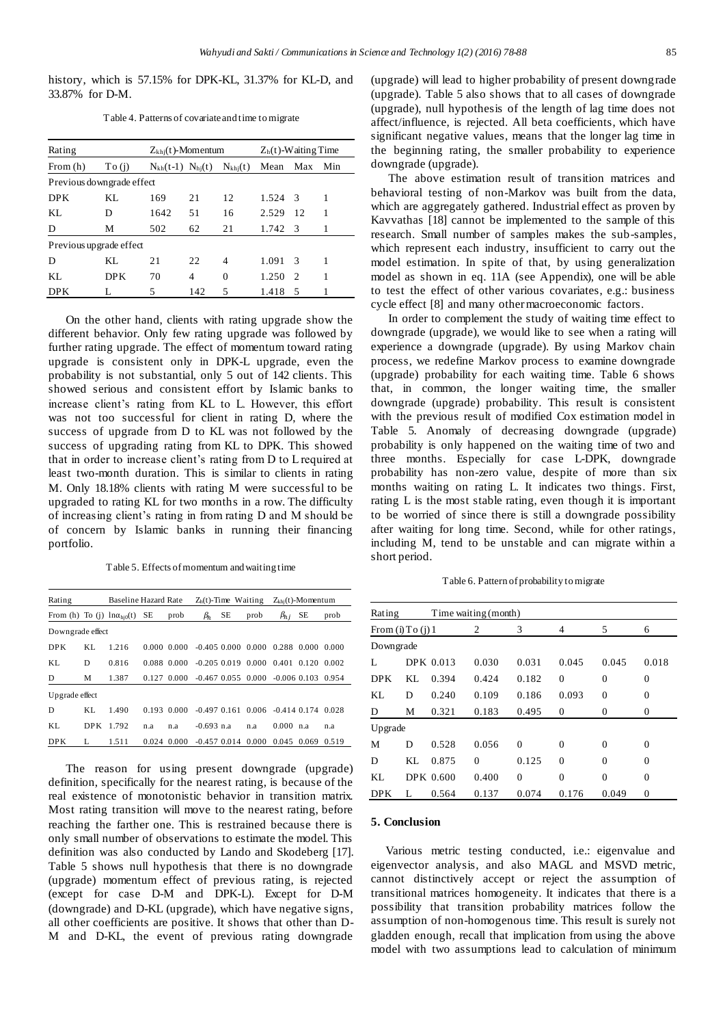history, which is 57.15% for DPK-KL, 31.37% for KL-D, and 33.87% for D-M.

Table 4. Patterns of covariate and time to migrate

| Rating                    | $Z_{\text{kh}}(t)$ -Momentum |                           |     | $Zh(t)$ -Waiting Time |       |               |     |
|---------------------------|------------------------------|---------------------------|-----|-----------------------|-------|---------------|-----|
| From $(h)$                | To (i)                       | $N_{kh}(t-1)$ $N_{hi}(t)$ |     | $N_{\text{khj}}(t)$   | Mean  | Max           | Min |
| Previous downgrade effect |                              |                           |     |                       |       |               |     |
| <b>DPK</b>                | KL.                          | 169                       | 21  | 12                    | 1.524 | -3            | 1   |
| KL.                       | D                            | 1642                      | 51  | 16                    | 2.529 | 12            | 1   |
| D                         | М                            | 502                       | 62  | 21                    | 1.742 | - 3           |     |
| Previous upgrade effect   |                              |                           |     |                       |       |               |     |
| D                         | KL.                          | 21                        | 22  | 4                     | 1.091 | -3            | 1   |
| KI.                       | <b>DPK</b>                   | 70                        | 4   | 0                     | 1.250 | $\mathcal{D}$ | 1   |
| <b>DPK</b>                |                              | 5                         | 142 | 5                     | 1.418 | 5             |     |

On the other hand, clients with rating upgrade show the different behavior. Only few rating upgrade was followed by further rating upgrade. The effect of momentum toward rating upgrade is consistent only in DPK-L upgrade, even the probability is not substantial, only 5 out of 142 clients. This showed serious and consistent effort by Islamic banks to increase client's rating from KL to L. However, this effort was not too successful for client in rating D, where the success of upgrade from D to KL was not followed by the success of upgrading rating from KL to DPK. This showed that in order to increase client's rating from D to L required at least two-month duration. This is similar to clients in rating M. Only 18.18% clients with rating M were successful to be upgraded to rating KL for two months in a row. The difficulty of increasing client's rating in from rating D and M should be of concern by Islamic banks in running their financing portfolio.

Table 5. Effects of momentum and waiting time

| Rating           |           | <b>Baseline Hazard Rate</b>                 |     |                                                   | $Zh(t)$ -Time Waiting    |    |                                     | $Z_{\text{th}}(t)$ -Momentum |    |       |
|------------------|-----------|---------------------------------------------|-----|---------------------------------------------------|--------------------------|----|-------------------------------------|------------------------------|----|-------|
|                  |           | From (h) To (j) $\ln \alpha_{\text{hi}}(t)$ | SE  | prob                                              | $\beta_h$                | SE | prob                                | $\beta_{hj}$                 | SE | prob  |
| Downgrade effect |           |                                             |     |                                                   |                          |    |                                     |                              |    |       |
| <b>DPK</b>       | KI.       | 1.216                                       |     | $0.000\ 0.000$                                    | $-0.405$ $0.000$ $0.000$ |    |                                     | 0.288 0.000 0.000            |    |       |
| KI.              | D         | 0.816                                       |     | 0.088 0.000                                       | $-0.205$ 0.019 0.000     |    |                                     | 0.401 0.120                  |    | 0.002 |
| D                | М         | 1.387                                       |     | 0.127 0.000 -0.467 0.055 0.000 -0.006 0.103 0.954 |                          |    |                                     |                              |    |       |
| Upgrade effect   |           |                                             |     |                                                   |                          |    |                                     |                              |    |       |
| D                | KL.       | 1.490                                       |     | $0.193$ $0.000$                                   |                          |    | $-0.497$ 0.161 0.006 $-0.414$ 0.174 |                              |    | 0.028 |
| KI.              | DPK 1.792 |                                             | n.a | n.a                                               | $-0.693$ n.a             |    | n.a                                 | 0.000 n.a                    |    | n.a   |
| <b>DPK</b>       | L         | 1.511                                       |     | $0.024$ $0.000$                                   | $-0.457$ 0.014 0.000     |    |                                     | 0.045 0.069                  |    | 0.519 |

The reason for using present downgrade (upgrade) definition, specifically for the nearest rating, is because of the real existence of monotonistic behavior in transition matrix. Most rating transition will move to the nearest rating, before reaching the farther one. This is restrained because there is only small number of observations to estimate the model. This definition was also conducted by Lando and Skodeberg [17]. Table 5 shows null hypothesis that there is no downgrade (upgrade) momentum effect of previous rating, is rejected (except for case D-M and DPK-L). Except for D-M (downgrade) and D-KL (upgrade), which have negative signs, all other coefficients are positive. It shows that other than D-M and D-KL, the event of previous rating downgrade

(upgrade) will lead to higher probability of present downgrade (upgrade). Table 5 also shows that to all cases of downgrade (upgrade), null hypothesis of the length of lag time does not affect/influence, is rejected. All beta coefficients, which have significant negative values, means that the longer lag time in the beginning rating, the smaller probability to experience downgrade (upgrade).

The above estimation result of transition matrices and behavioral testing of non-Markov was built from the data, which are aggregately gathered. Industrial effect as proven by Kavvathas [18] cannot be implemented to the sample of this research. Small number of samples makes the sub-samples, which represent each industry, insufficient to carry out the model estimation. In spite of that, by using generalization model as shown in eq. 11A (see Appendix), one will be able to test the effect of other various covariates, e.g.: business cycle effect [8] and many other macroeconomic factors.

In order to complement the study of waiting time effect to downgrade (upgrade), we would like to see when a rating will experience a downgrade (upgrade). By using Markov chain process, we redefine Markov process to examine downgrade (upgrade) probability for each waiting time. Table 6 shows that, in common, the longer waiting time, the smaller downgrade (upgrade) probability. This result is consistent with the previous result of modified Cox estimation model in Table 5. Anomaly of decreasing downgrade (upgrade) probability is only happened on the waiting time of two and three months. Especially for case L-DPK, downgrade probability has non-zero value, despite of more than six months waiting on rating L. It indicates two things. First, rating L is the most stable rating, even though it is important to be worried of since there is still a downgrade possibility after waiting for long time. Second, while for other ratings, including M, tend to be unstable and can migrate within a short period.

Table 6. Pattern of probability to migrate

| Rating                |    |           | Time waiting (month) |              |                |          |          |
|-----------------------|----|-----------|----------------------|--------------|----------------|----------|----------|
| From $(i)$ To $(i)$ 1 |    |           | 2                    | 3            | 4              | 5        | 6        |
| Downgrade             |    |           |                      |              |                |          |          |
| L                     |    | DPK 0.013 | 0.030                | 0.031        | 0.045          | 0.045    | 0.018    |
| <b>DPK</b>            | KL | 0.394     | 0.424                | 0.182        | $\mathbf{0}$   | $\Omega$ | $\Omega$ |
| KL                    | D  | 0.240     | 0.109                | 0.186        | 0.093          | $\Omega$ | $\Omega$ |
| D                     | М  | 0.321     | 0.183                | 0.495        | $\overline{0}$ | $\Omega$ | $\Omega$ |
| Upgrade               |    |           |                      |              |                |          |          |
| М                     | D  | 0.528     | 0.056                | $\theta$     | $\Omega$       | $\Omega$ | 0        |
| D                     | KL | 0.875     | $\Omega$             | 0.125        | $\Omega$       | $\Omega$ | 0        |
| KI.                   |    | DPK 0.600 | 0.400                | $\mathbf{0}$ | $\overline{0}$ | $\Omega$ | $\theta$ |
| DPK                   | L  | 0.564     | 0.137                | 0.074        | 0.176          | 0.049    | 0        |

# **5. Conclusion**

Various metric testing conducted, i.e.: eigenvalue and eigenvector analysis, and also MAGL and MSVD metric, cannot distinctively accept or reject the assumption of transitional matrices homogeneity. It indicates that there is a possibility that transition probability matrices follow the assumption of non-homogenous time. This result is surely not gladden enough, recall that implication from using the above model with two assumptions lead to calculation of minimum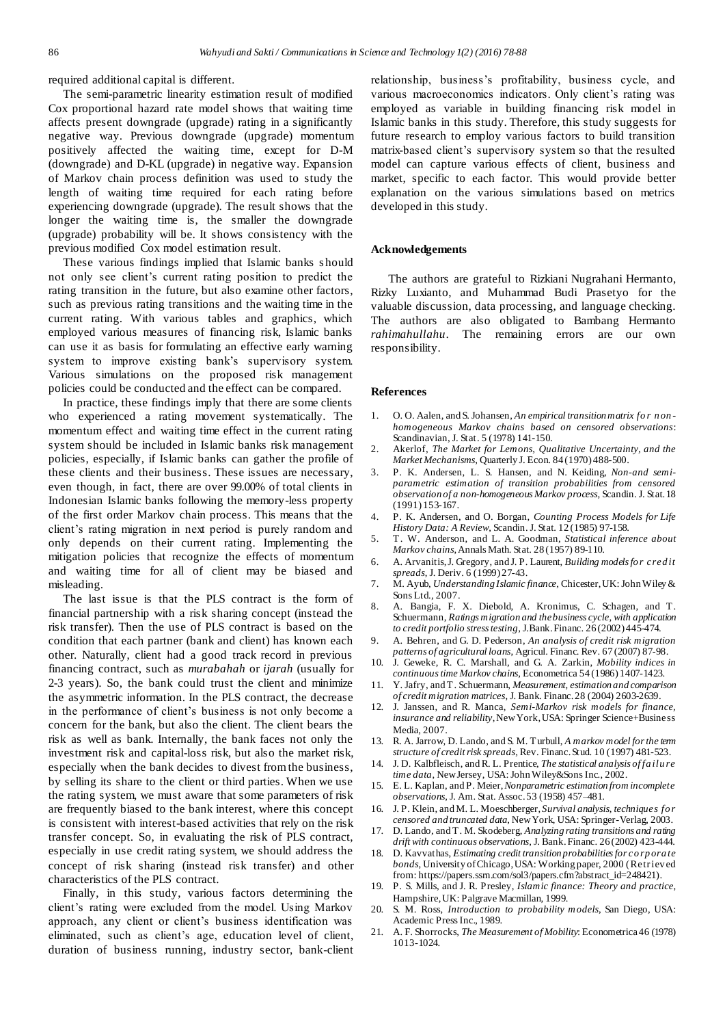required additional capital is different.

The semi-parametric linearity estimation result of modified Cox proportional hazard rate model shows that waiting time affects present downgrade (upgrade) rating in a significantly negative way. Previous downgrade (upgrade) momentum positively affected the waiting time, except for D-M (downgrade) and D-KL (upgrade) in negative way. Expansion of Markov chain process definition was used to study the length of waiting time required for each rating before experiencing downgrade (upgrade). The result shows that the longer the waiting time is, the smaller the downgrade (upgrade) probability will be. It shows consistency with the previous modified Cox model estimation result.

These various findings implied that Islamic banks should not only see client's current rating position to predict the rating transition in the future, but also examine other factors, such as previous rating transitions and the waiting time in the current rating. With various tables and graphics, which employed various measures of financing risk, Islamic banks can use it as basis for formulating an effective early warning system to improve existing bank's supervisory system. Various simulations on the proposed risk management policies could be conducted and the effect can be compared.

In practice, these findings imply that there are some clients who experienced a rating movement systematically. The momentum effect and waiting time effect in the current rating system should be included in Islamic banks risk management policies, especially, if Islamic banks can gather the profile of these clients and their business. These issues are necessary, even though, in fact, there are over 99.00% of total clients in Indonesian Islamic banks following the memory-less property of the first order Markov chain process. This means that the client's rating migration in next period is purely random and only depends on their current rating. Implementing the mitigation policies that recognize the effects of momentum and waiting time for all of client may be biased and misleading.

The last issue is that the PLS contract is the form of financial partnership with a risk sharing concept (instead the risk transfer). Then the use of PLS contract is based on the condition that each partner (bank and client) has known each other. Naturally, client had a good track record in previous financing contract, such as *murabahah* or *ijarah* (usually for 2-3 years). So, the bank could trust the client and minimize the asymmetric information. In the PLS contract, the decrease in the performance of client's business is not only become a concern for the bank, but also the client. The client bears the risk as well as bank. Internally, the bank faces not only the investment risk and capital-loss risk, but also the market risk, especially when the bank decides to divest from the business, by selling its share to the client or third parties. When we use the rating system, we must aware that some parameters of risk are frequently biased to the bank interest, where this concept is consistent with interest-based activities that rely on the risk transfer concept. So, in evaluating the risk of PLS contract, especially in use credit rating system, we should address the concept of risk sharing (instead risk transfer) and other characteristics of the PLS contract.

Finally, in this study, various factors determining the client's rating were excluded from the model. Using Markov approach, any client or client's business identification was eliminated, such as client's age, education level of client, duration of business running, industry sector, bank-client relationship, business's profitability, business cycle, and various macroeconomics indicators. Only client's rating was employed as variable in building financing risk model in Islamic banks in this study. Therefore, this study suggests for future research to employ various factors to build transition matrix-based client's supervisory system so that the resulted model can capture various effects of client, business and market, specific to each factor. This would provide better explanation on the various simulations based on metrics developed in this study.

# **Acknowledgements**

The authors are grateful to Rizkiani Nugrahani Hermanto, Rizky Luxianto, and Muhammad Budi Prasetyo for the valuable discussion, data processing, and language checking. The authors are also obligated to Bambang Hermanto *rahimahullahu*. The remaining errors are our own responsibility.

#### **References**

- 1. O. O. Aalen, and S. Johansen, *An empirical transition matrix fo r n on homogeneous Markov chains based on censored observations*: Scandinavian, J. Stat. 5 (1978) 141-150.
- 2. Akerlof, *The Market for Lemons, Qualitative Uncertainty, and the Market Mechanisms*, Quarterly J. Econ. 84 (1970) 488-500.
- 3. P. K. Andersen, L. S. Hansen, and N. Keiding, *Non-and semiparametric estimation of transition probabilities from censored observation of a non-homogeneous Markov process*, Scandin. J. Stat.18 (1991) 153-167.
- 4. P. K. Andersen, and O. Borgan, *Counting Process Models for Life History Data: A Review*, Scandin. J. Stat. 12 (1985) 97-158.
- 5. T. W. Anderson, and L. A. Goodman, *Statistical inference about Markov chains*,Annals Math. Stat. 28 (1957) 89-110.
- 6. A. Arvanitis, J. Gregory, and J. P. Laurent, *Building models fo r cred it spreads*, J. Deriv. 6 (1999) 27-43.
- 7. M. Ayub, *Understanding Islamic finance*, Chicester, UK: John Wiley & Sons Ltd., 2007.
- 8. A. Bangia, F. X. Diebold, A. Kronimus, C. Schagen, and T. Schuermann, *Ratings migration and the business cycle, with application to credit portfolio stress testing*, J.Bank.Financ. 26 (2002) 445-474.
- 9. A. Behren, and G. D. Pederson, *An analysis of credit risk migration patterns of agricultural loans*, Agricul. Financ. Rev. 67 (2007) 87-98.
- 10. J. Geweke, R. C. Marshall, and G. A. Zarkin, *Mobility indices in continuoustime Markov chains*, Econometrica 54 (1986) 1407-1423.
- 11. Y. Jafry, and T. Schuermann, *Measurement, estimation and comparison of credit migration matrices*, J. Bank. Financ.28 (2004) 2603-2639.
- 12. J. Janssen, and R. Manca, *Semi-Markov risk models for finance, insurance and reliability*, New York, USA: Springer Science+Business Media, 2007.
- 13. R. A. Jarrow, D. Lando, and S. M. Turbull, *A markov model for the term structure of credit risk spreads,* Rev. Financ.Stud. 10 (1997) 481-523.
- 14. J. D. Kalbfleisch, and R. L. Prentice, *The statistical analysis of fa ilu re time data*, New Jersey, USA: John Wiley&SonsInc., 2002.
- 15. E. L. Kaplan, and P. Meier, *Nonparametric estimation from incomplete observations*, J. Am. Stat. Assoc.53 (1958) 457–481.
- 16. J. P. Klein, and M. L. Moeschberger, *Survival analysis, techniques fo r censored and truncated data*, New York, USA: Springer-Verlag, 2003.
- 17. D. Lando, and T. M. Skodeberg, *Analyzing rating transitions and rating drift with continuous observations*, J. Bank. Financ. 26 (2002) 423-444.
- 18. D. Kavvathas, *Estimating credit transition probabilities for co rp ora te bonds*, University of Chicago, USA: Working paper, 2000 (Retriev ed from: https://papers.ssm.com/sol3/papers.cfm?abstract\_id=248421).
- 19. P. S. Mills, and J. R. Presley, *Islamic finance: Theory and practice*, Hampshire, UK: Palgrave Macmillan, 1999.
- 20. S. M. Ross, *Introduction to probability models*, San Diego, USA: Academic PressInc., 1989.
- 21. A. F. Shorrocks, *The Measurement of Mobility*: Econometrica46 (1978) 1013-1024.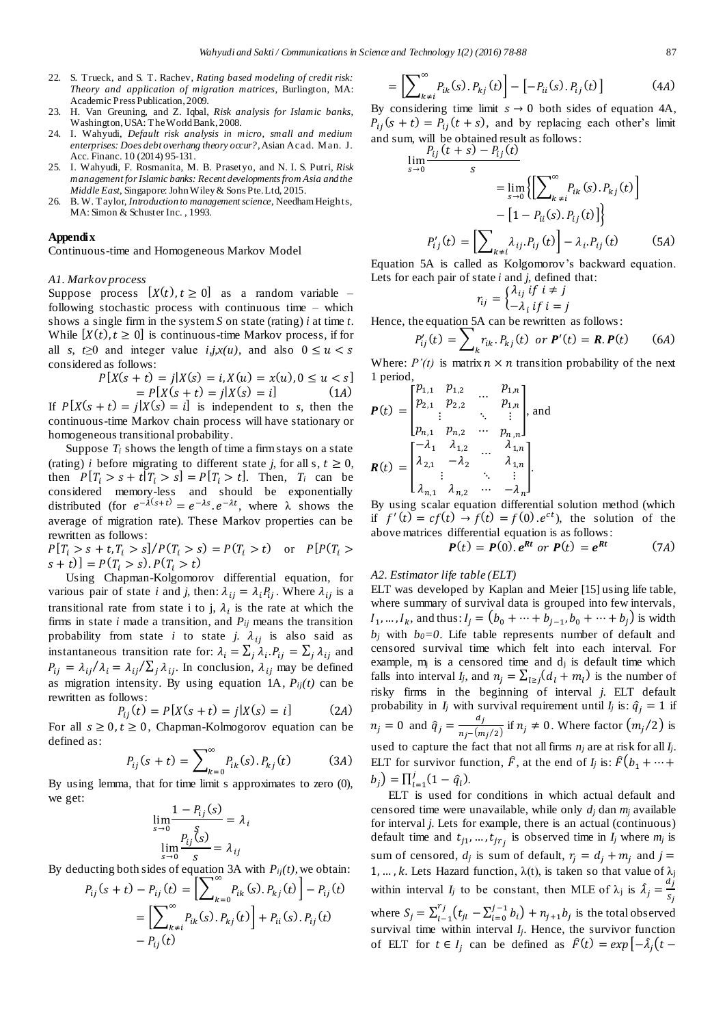- 22. S. Trueck, and S. T. Rachev, *Rating based modeling of credit risk: Theory and application of migration matrices*, Burlington, MA: Academic Press Publication, 2009.
- 23. H. Van Greuning, and Z. Iqbal, *Risk analysis for Islamic banks*, Washington, USA: The World Bank, 2008.
- 24. I. Wahyudi, *Default risk analysis in micro, small and medium enterprises: Does debt overhang theory occur?*,Asian Acad. Man. J. Acc. Financ. 10 (2014) 95-131.
- 25. I. Wahyudi, F. Rosmanita, M. B. Prasetyo, and N. I. S. Putri, *Risk management for Islamic banks: Recent developments from Asia and the Middle East*, Singapore: John Wiley & Sons Pte. Ltd, 2015.
- 26. B. W. Taylor, *Introduction to management science*, Needham Heigh ts, MA: Simon & Schuster Inc. , 1993.

#### **Appendix**

Continuous-time and Homogeneous Markov Model

#### *A1. Markov process*

Suppose process  $[X(t), t \ge 0]$  as a random variable – following stochastic process with continuous time – which shows a single firm in the system *S* on state (rating) *i* at time *t*. While  $[X(t), t \ge 0]$  is continuous-time Markov process, if for all *s*,  $t \ge 0$  and integer value *i,j,x(u)*, and also  $0 \le u < s$ considered as follows:

$$
P[X(s + t) = j | X(s) = i, X(u) = x(u), 0 \le u < s]
$$
  
= 
$$
P[X(s + t) = j | X(s) = i]
$$
 (1A)

If  $P[X(s + t) = j | X(s) = i]$  is independent to *s*, then the continuous-time Markov chain process will have stationary or homogeneous transitional probability.

Suppose  $T_i$  shows the length of time a firm stays on a state (rating) *i* before migrating to different state *j*, for all s,  $t \ge 0$ , then  $P[T_i > s + t | T_i > s] = P[T_i > t]$ . Then,  $T_i$  can be considered memory-less and should be exponentially distributed (for  $e^{-\lambda(s+t)} = e^{-\lambda s} \cdot e^{-\lambda t}$ , where  $\lambda$  shows the average of migration rate). These Markov properties can be rewritten as follows:

 $P[T_i > s + t, T_i > s] / P(T_i > s) = P(T_i > t)$  or  $P[P(T_i > s)$  $[s + t] = P(T_i > s) \cdot P(T_i > t)$ 

Using Chapman-Kolgomorov differential equation, for various pair of state *i* and *j*, then:  $\lambda_{ij} = \lambda_i P_{ij}$ . Where  $\lambda_{ij}$  is a transitional rate from state i to j,  $\lambda_i$  is the rate at which the firms in state *i* made a transition, and *Pij* means the transition probability from state *i* to state *j*.  $\lambda_{ij}$  is also said as instantaneous transition rate for:  $\lambda_i = \sum_j \lambda_i P_{ij} = \sum_j \lambda_{ij}$  and  $P_{ij} = \lambda_{ij}/\lambda_i = \lambda_{ij}/\sum_j \lambda_{ij}$ . In conclusion,  $\lambda_{ij}$  may be defined as migration intensity. By using equation 1A,  $P_{ij}(t)$  can be rewritten as follows:

$$
P_{ij}(t) = P[X(s+t) = j | X(s) = i]
$$
 (2*A*)

For all  $s \geq 0$ ,  $t \geq 0$ , Chapman-Kolmogorov equation can be defined as:

$$
P_{ij}(s+t) = \sum_{k=0}^{\infty} P_{ik}(s) P_{kj}(t) \tag{3A}
$$

By using lemma, that for time limit s approximates to zero (0), we get:

$$
\lim_{s \to 0} \frac{1 - P_{ij}(s)}{s} = \lambda_i
$$

$$
\lim_{s \to 0} \frac{P_{ij}(s)}{s} = \lambda_{ij}
$$

By deducting both sides of equation 3A with  $P_{ij}(t)$ , we obtain:

$$
P_{ij}(s+t) - P_{ij}(t) = \left[ \sum_{k=0} P_{ik}(s) \cdot P_{kj}(t) \right] - P_{ij}(t)
$$
  
= 
$$
\left[ \sum_{k \neq i}^{\infty} P_{ik}(s) \cdot P_{kj}(t) \right] + P_{ii}(s) \cdot P_{ij}(t)
$$
  
- 
$$
P_{ij}(t)
$$

$$
= \left[\sum_{k \neq i}^{\infty} P_{ik}(s) \cdot P_{kj}(t)\right] - \left[-P_{ii}(s) \cdot P_{ij}(t)\right]
$$
(4A)

By considering time limit  $s \to 0$  both sides of equation 4A,  $P_{ij}(s + t) = P_{ij}(t + s)$ , and by replacing each other's limit and sum, will be obtained result as follows:

$$
\lim_{s \to 0} \frac{P_{ij}(t+s) - P_{ij}(t)}{s}
$$
\n
$$
= \lim_{s \to 0} \left\{ \left[ \sum_{k \neq i}^{\infty} P_{ik}(s) \cdot P_{kj}(t) \right] - \left[ 1 - P_{ii}(s) \cdot P_{ij}(t) \right] \right\}
$$
\n
$$
P'_{ij}(t) = \left[ \sum_{k \neq i} \lambda_{ij} \cdot P_{ij}(t) \right] - \lambda_i \cdot P_{ij}(t) \qquad (5A)
$$
\nin 5A is called as Kelsomorov's backward equation.

Equation 5A is called as Kolgomorov's backward equation. Lets for each pair of state *i* and *j*, defined that:

$$
r_{ij} = \begin{cases} \lambda_{ij} & \text{if } i \neq j \\ -\lambda_i & \text{if } i = j \end{cases}
$$

Hence, the equation 5A can be rewritten as follows:

$$
P'_{ij}(t) = \sum_{k} r_{ik} P_{kj}(t) \text{ or } \mathbf{P}'(t) = \mathbf{R}.\mathbf{P}(t) \qquad (6A)
$$

Where:  $P'(t)$  is matrix  $n \times n$  transition probability of the next 1 period,

$$
P(t) = \begin{bmatrix} p_{1,1} & p_{1,2} & \dots & p_{1,n} \\ p_{2,1} & p_{2,2} & \dots & p_{1,n} \\ \vdots & \ddots & \vdots \\ p_{n,1} & p_{n,2} & \dots & p_{n,n} \end{bmatrix}
$$
, and  

$$
R(t) = \begin{bmatrix} -\lambda_1 & \lambda_{1,2} & \dots & \lambda_{1,n} \\ \lambda_{2,1} & -\lambda_2 & \dots & \lambda_{1,n} \\ \vdots & \ddots & \vdots \\ \lambda_{n,1} & \lambda_{n,2} & \dots & -\lambda_n \end{bmatrix}
$$

By using scalar equation differential solution method (which if  $f'(t) = cf(t) \rightarrow f(t) = f(0) \cdot e^{ct}$ , the solution of the above matrices differential equation is as follows:

$$
\boldsymbol{P}(t) = \boldsymbol{P}(0). \, \boldsymbol{e}^{\boldsymbol{R}t} \text{ or } \boldsymbol{P}(t) = \boldsymbol{e}^{\boldsymbol{R}t} \tag{7A}
$$

# *A2. Estimator life table (ELT)*

ELT was developed by Kaplan and Meier [15] using life table, where summary of survival data is grouped into few intervals,  $I_1, ..., I_k$ , and thus:  $I_j = (b_0 + ... + b_{j-1}, b_0 + ... + b_j)$  is width  $b_j$  with  $b_0=0$ . Life table represents number of default and censored survival time which felt into each interval. For example,  $m<sub>j</sub>$  is a censored time and  $d<sub>j</sub>$  is default time which falls into interval *I<sub>j</sub>*, and  $n_j = \sum_{l \ge j} (d_l + m_l)$  is the number of risky firms in the beginning of interval *j*. ELT default probability in  $I_j$  with survival requirement until  $I_j$  is:  $\hat{q}_j = 1$  if  $n_j = 0$  and  $\hat{q}_j = \frac{d_j}{n_j - (m_j)}$  $\frac{a_j}{n_j - (m_j/2)}$  if  $n_j \neq 0$ . Where factor  $(m_j/2)$  is used to capture the fact that not all firms *n<sup>j</sup>* are at risk for all *Ij*. ELT for survivor function,  $\hat{F}$ , at the end of  $I_j$  is:  $\hat{F}(b_1 + \cdots + b_n)$  $b_j$ ) =  $\prod_{l=1}^{j} (1 - \hat{q}_l)$  $_{l=1}^{J}(1-\hat{q}_l).$ 

ELT is used for conditions in which actual default and censored time were unavailable, while only *d<sup>j</sup>* dan *m<sup>j</sup>* available for interval *j*. Lets for example, there is an actual (continuous) default time and  $t_{j1},...,t_{jr_j}$  is observed time in  $I_j$  where  $m_j$  is sum of censored,  $d_j$  is sum of default,  $r_j = d_j + m_j$  and  $j =$ 1, ..., k. Lets Hazard function,  $\lambda(t)$ , is taken so that value of  $\lambda_j$ within interval *I<sub>j</sub>* to be constant, then MLE of  $\lambda_j$  is  $\hat{\lambda}_j = \frac{d_j}{s}$  $S_j$ where  $S_j = \sum_{l=1}^{r_j} (t_{jl} - \sum_{i=0}^{j-1} b_i)$  $\int_{l-1}^{r_j} (t_{jl} - \sum_{i=0}^{j-1} b_i)$  $\sum_{i=1}^{j} (t_{i} - \sum_{i=0}^{j-1} b_i) + n_{j+1} b_j$  is the total observed survival time within interval  $I_j$ . Hence, the survivor function of ELT for  $t \in I_j$  can be defined as  $\hat{F}(t) = exp[-\hat{\lambda}_j(t -$